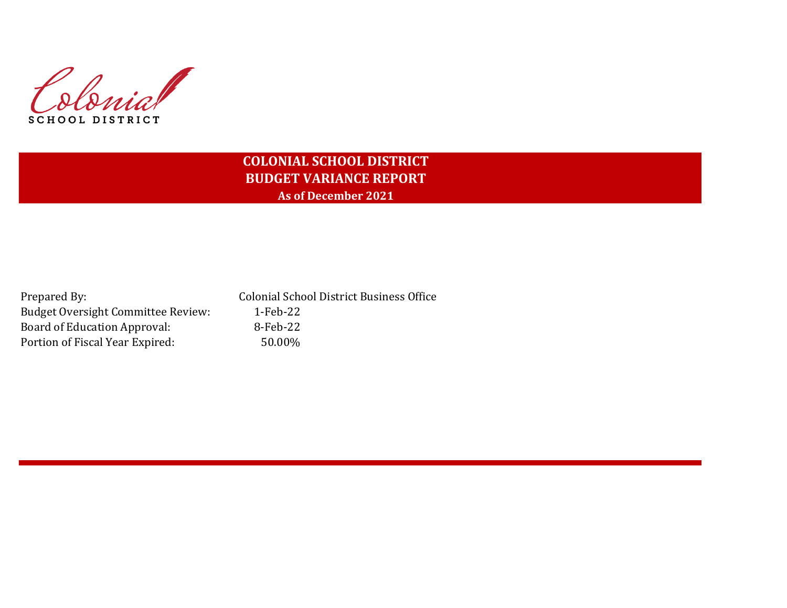Colonial SCHOOL DISTRICT

# **COLONIAL SCHOOL DISTRICT BUDGET VARIANCE REPORT As of December 2021**

| Prepared By:                              | <b>Colonial School District Business Office</b> |
|-------------------------------------------|-------------------------------------------------|
| <b>Budget Oversight Committee Review:</b> | 1-Feb-22                                        |
| Board of Education Approval:              | 8-Feb-22                                        |
| Portion of Fiscal Year Expired:           | 50.00%                                          |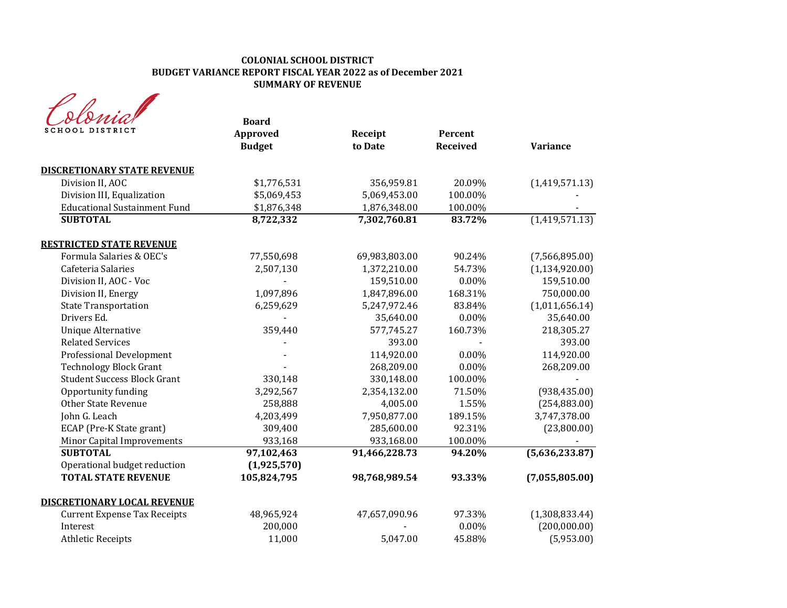#### **COLONIAL SCHOOL DISTRICT BUDGET VARIANCE REPORT FISCAL YEAR 2022 as of December 2021 SUMMARY OF REVENUE**

|                                     | <b>Board</b>              |                    |                            |                  |
|-------------------------------------|---------------------------|--------------------|----------------------------|------------------|
| SCHOOL DISTRICT                     | Approved<br><b>Budget</b> | Receipt<br>to Date | Percent<br><b>Received</b> | <b>Variance</b>  |
| <b>DISCRETIONARY STATE REVENUE</b>  |                           |                    |                            |                  |
| Division II, AOC                    | \$1,776,531               | 356,959.81         | 20.09%                     | (1,419,571.13)   |
| Division III, Equalization          | \$5,069,453               | 5,069,453.00       | 100.00%                    |                  |
| <b>Educational Sustainment Fund</b> | \$1,876,348               | 1,876,348.00       | 100.00%                    |                  |
| <b>SUBTOTAL</b>                     | 8,722,332                 | 7,302,760.81       | 83.72%                     | (1,419,571.13)   |
| <b>RESTRICTED STATE REVENUE</b>     |                           |                    |                            |                  |
| Formula Salaries & OEC's            | 77,550,698                | 69,983,803.00      | 90.24%                     | (7,566,895.00)   |
| Cafeteria Salaries                  | 2,507,130                 | 1,372,210.00       | 54.73%                     | (1, 134, 920.00) |
| Division II, AOC - Voc              |                           | 159,510.00         | 0.00%                      | 159,510.00       |
| Division II, Energy                 | 1,097,896                 | 1,847,896.00       | 168.31%                    | 750,000.00       |
| <b>State Transportation</b>         | 6,259,629                 | 5,247,972.46       | 83.84%                     | (1,011,656.14)   |
| Drivers Ed.                         |                           | 35,640.00          | 0.00%                      | 35,640.00        |
| <b>Unique Alternative</b>           | 359,440                   | 577,745.27         | 160.73%                    | 218,305.27       |
| <b>Related Services</b>             |                           | 393.00             |                            | 393.00           |
| Professional Development            |                           | 114,920.00         | 0.00%                      | 114,920.00       |
| <b>Technology Block Grant</b>       |                           | 268,209.00         | $0.00\%$                   | 268,209.00       |
| <b>Student Success Block Grant</b>  | 330,148                   | 330,148.00         | 100.00%                    |                  |
| Opportunity funding                 | 3,292,567                 | 2,354,132.00       | 71.50%                     | (938, 435.00)    |
| <b>Other State Revenue</b>          | 258,888                   | 4,005.00           | 1.55%                      | (254, 883.00)    |
| John G. Leach                       | 4,203,499                 | 7,950,877.00       | 189.15%                    | 3,747,378.00     |
| ECAP (Pre-K State grant)            | 309,400                   | 285,600.00         | 92.31%                     | (23,800.00)      |
| Minor Capital Improvements          | 933,168                   | 933,168.00         | 100.00%                    |                  |
| <b>SUBTOTAL</b>                     | 97,102,463                | 91,466,228.73      | 94.20%                     | (5,636,233.87)   |
| Operational budget reduction        | (1,925,570)               |                    |                            |                  |
| <b>TOTAL STATE REVENUE</b>          | 105,824,795               | 98,768,989.54      | 93.33%                     | (7,055,805.00)   |
| <b>DISCRETIONARY LOCAL REVENUE</b>  |                           |                    |                            |                  |
| <b>Current Expense Tax Receipts</b> | 48,965,924                | 47,657,090.96      | 97.33%                     | (1,308,833.44)   |
| Interest                            | 200,000                   |                    | 0.00%                      | (200,000.00)     |
| <b>Athletic Receipts</b>            | 11,000                    | 5,047.00           | 45.88%                     | (5,953.00)       |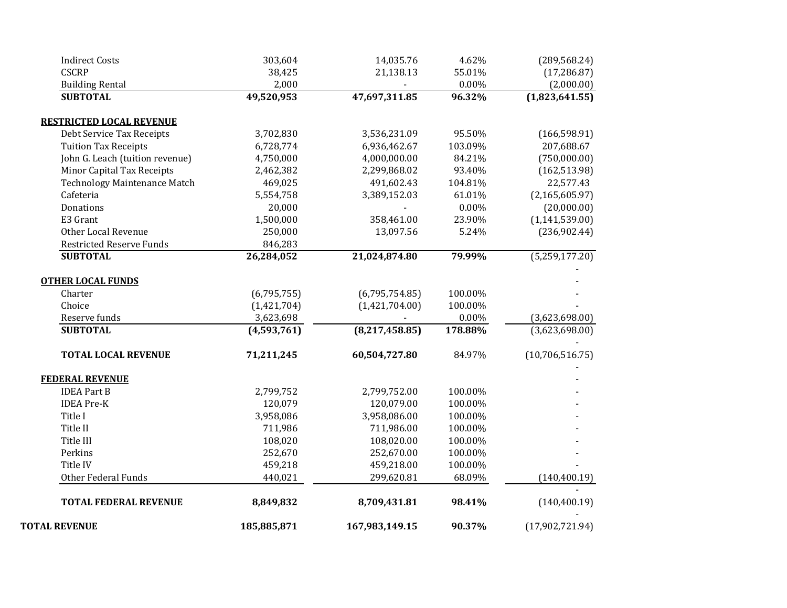| 252,670<br>252,670.00<br>100.00%<br>100.00%<br>459,218<br>459,218.00<br>440,021<br>299,620.81<br>68.09%<br>(140, 400.19)<br>8,849,832<br>8,709,431.81<br>98.41%<br>(140, 400.19) |
|----------------------------------------------------------------------------------------------------------------------------------------------------------------------------------|
|                                                                                                                                                                                  |
|                                                                                                                                                                                  |
|                                                                                                                                                                                  |
|                                                                                                                                                                                  |
| 108,020<br>108,020.00<br>100.00%                                                                                                                                                 |
| 100.00%<br>711,986<br>711,986.00                                                                                                                                                 |
| 3,958,086<br>3,958,086.00<br>100.00%                                                                                                                                             |
| 120,079<br>120,079.00<br>100.00%                                                                                                                                                 |
| 2,799,752<br>2,799,752.00<br>100.00%                                                                                                                                             |
|                                                                                                                                                                                  |
|                                                                                                                                                                                  |
| 71,211,245<br>(10,706,516.75)<br>60,504,727.80<br>84.97%                                                                                                                         |
| (4,593,761)<br>(8, 217, 458.85)<br>178.88%<br>(3,623,698.00)                                                                                                                     |
| 3,623,698<br>$0.00\%$<br>(3,623,698.00)                                                                                                                                          |
| (1,421,704.00)<br>100.00%<br>(1,421,704)                                                                                                                                         |
| 100.00%<br>(6,795,755)<br>(6,795,754.85)                                                                                                                                         |
|                                                                                                                                                                                  |
| (5,259,177.20)<br>26,284,052<br>21,024,874.80<br>79.99%                                                                                                                          |
| 846,283                                                                                                                                                                          |
| 250,000<br>13,097.56<br>5.24%<br>(236,902.44)                                                                                                                                    |
| 1,500,000<br>358,461.00<br>23.90%<br>(1, 141, 539.00)                                                                                                                            |
| 20,000<br>$0.00\%$<br>(20,000.00)                                                                                                                                                |
| 5,554,758<br>3,389,152.03<br>61.01%<br>(2, 165, 605.97)                                                                                                                          |
| <b>Technology Maintenance Match</b><br>22,577.43<br>469,025<br>491,602.43<br>104.81%                                                                                             |
| 2,462,382<br>2,299,868.02<br>93.40%<br>(162, 513.98)                                                                                                                             |
| John G. Leach (tuition revenue)<br>4,750,000<br>4,000,000.00<br>84.21%<br>(750,000.00)                                                                                           |
| 6,728,774<br>6,936,462.67<br>103.09%<br>207,688.67                                                                                                                               |
| 3,702,830<br>3,536,231.09<br>95.50%<br>(166, 598.91)                                                                                                                             |
|                                                                                                                                                                                  |
| 49,520,953<br>47,697,311.85<br>(1,823,641.55)<br>96.32%                                                                                                                          |
| 2,000<br>0.00%<br>(2,000.00)                                                                                                                                                     |
| (289, 568.24)<br>38,425<br>21,138.13<br>55.01%<br>(17, 286.87)                                                                                                                   |
| 303,604<br>14,035.76<br>4.62%                                                                                                                                                    |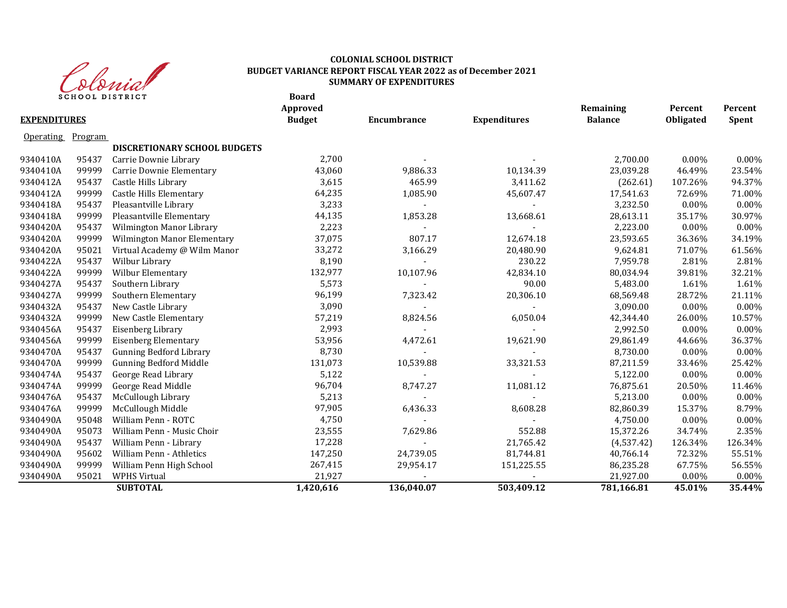

#### **Board COLONIAL SCHOOL DISTRICT BUDGET VARIANCE REPORT FISCAL YEAR 2022 as of December 2021 SUMMARY OF EXPENDITURES**

|                     |         | <b>SCHOOL DISIRICI</b>         | <b>b</b> oaru<br>Approved |                    |                     | Remaining      | Percent   | Percent  |
|---------------------|---------|--------------------------------|---------------------------|--------------------|---------------------|----------------|-----------|----------|
| <b>EXPENDITURES</b> |         |                                | <b>Budget</b>             | <b>Encumbrance</b> | <b>Expenditures</b> | <b>Balance</b> | Obligated | Spent    |
| Operating           | Program |                                |                           |                    |                     |                |           |          |
|                     |         | DISCRETIONARY SCHOOL BUDGETS   |                           |                    |                     |                |           |          |
| 9340410A            | 95437   | Carrie Downie Library          | 2,700                     |                    |                     | 2,700.00       | $0.00\%$  | 0.00%    |
| 9340410A            | 99999   | Carrie Downie Elementary       | 43,060                    | 9,886.33           | 10,134.39           | 23,039.28      | 46.49%    | 23.54%   |
| 9340412A            | 95437   | Castle Hills Library           | 3,615                     | 465.99             | 3,411.62            | (262.61)       | 107.26%   | 94.37%   |
| 9340412A            | 99999   | Castle Hills Elementary        | 64,235                    | 1,085.90           | 45,607.47           | 17,541.63      | 72.69%    | 71.00%   |
| 9340418A            | 95437   | Pleasantville Library          | 3,233                     |                    |                     | 3,232.50       | 0.00%     | 0.00%    |
| 9340418A            | 99999   | Pleasantville Elementary       | 44,135                    | 1,853.28           | 13,668.61           | 28,613.11      | 35.17%    | 30.97%   |
| 9340420A            | 95437   | Wilmington Manor Library       | 2,223                     |                    |                     | 2,223.00       | $0.00\%$  | 0.00%    |
| 9340420A            | 99999   | Wilmington Manor Elementary    | 37,075                    | 807.17             | 12,674.18           | 23,593.65      | 36.36%    | 34.19%   |
| 9340420A            | 95021   | Virtual Academy @ Wilm Manor   | 33,272                    | 3,166.29           | 20,480.90           | 9,624.81       | 71.07%    | 61.56%   |
| 9340422A            | 95437   | Wilbur Library                 | 8,190                     |                    | 230.22              | 7,959.78       | 2.81%     | 2.81%    |
| 9340422A            | 99999   | Wilbur Elementary              | 132,977                   | 10,107.96          | 42,834.10           | 80,034.94      | 39.81%    | 32.21%   |
| 9340427A            | 95437   | Southern Library               | 5,573                     |                    | 90.00               | 5,483.00       | 1.61%     | 1.61%    |
| 9340427A            | 99999   | Southern Elementary            | 96,199                    | 7,323.42           | 20,306.10           | 68,569.48      | 28.72%    | 21.11%   |
| 9340432A            | 95437   | New Castle Library             | 3,090                     |                    |                     | 3,090.00       | 0.00%     | $0.00\%$ |
| 9340432A            | 99999   | New Castle Elementary          | 57,219                    | 8,824.56           | 6,050.04            | 42,344.40      | 26.00%    | 10.57%   |
| 9340456A            | 95437   | Eisenberg Library              | 2,993                     |                    |                     | 2,992.50       | 0.00%     | $0.00\%$ |
| 9340456A            | 99999   | Eisenberg Elementary           | 53,956                    | 4,472.61           | 19,621.90           | 29,861.49      | 44.66%    | 36.37%   |
| 9340470A            | 95437   | <b>Gunning Bedford Library</b> | 8,730                     |                    |                     | 8,730.00       | 0.00%     | 0.00%    |
| 9340470A            | 99999   | <b>Gunning Bedford Middle</b>  | 131,073                   | 10,539.88          | 33,321.53           | 87,211.59      | 33.46%    | 25.42%   |
| 9340474A            | 95437   | George Read Library            | 5,122                     |                    |                     | 5,122.00       | 0.00%     | 0.00%    |
| 9340474A            | 99999   | George Read Middle             | 96,704                    | 8,747.27           | 11,081.12           | 76,875.61      | 20.50%    | 11.46%   |
| 9340476A            | 95437   | McCullough Library             | 5,213                     |                    |                     | 5,213.00       | 0.00%     | 0.00%    |
| 9340476A            | 99999   | McCullough Middle              | 97,905                    | 6,436.33           | 8,608.28            | 82,860.39      | 15.37%    | 8.79%    |
| 9340490A            | 95048   | William Penn - ROTC            | 4,750                     |                    |                     | 4,750.00       | $0.00\%$  | 0.00%    |
| 9340490A            | 95073   | William Penn - Music Choir     | 23,555                    | 7,629.86           | 552.88              | 15,372.26      | 34.74%    | 2.35%    |
| 9340490A            | 95437   | William Penn - Library         | 17,228                    |                    | 21,765.42           | (4,537.42)     | 126.34%   | 126.34%  |
| 9340490A            | 95602   | William Penn - Athletics       | 147,250                   | 24,739.05          | 81,744.81           | 40,766.14      | 72.32%    | 55.51%   |
| 9340490A            | 99999   | William Penn High School       | 267,415                   | 29,954.17          | 151,225.55          | 86,235.28      | 67.75%    | 56.55%   |
| 9340490A            | 95021   | <b>WPHS Virtual</b>            | 21,927                    |                    |                     | 21,927.00      | $0.00\%$  | 0.00%    |
|                     |         | <b>SUBTOTAL</b>                | 1,420,616                 | 136,040.07         | 503,409.12          | 781,166.81     | 45.01%    | 35.44%   |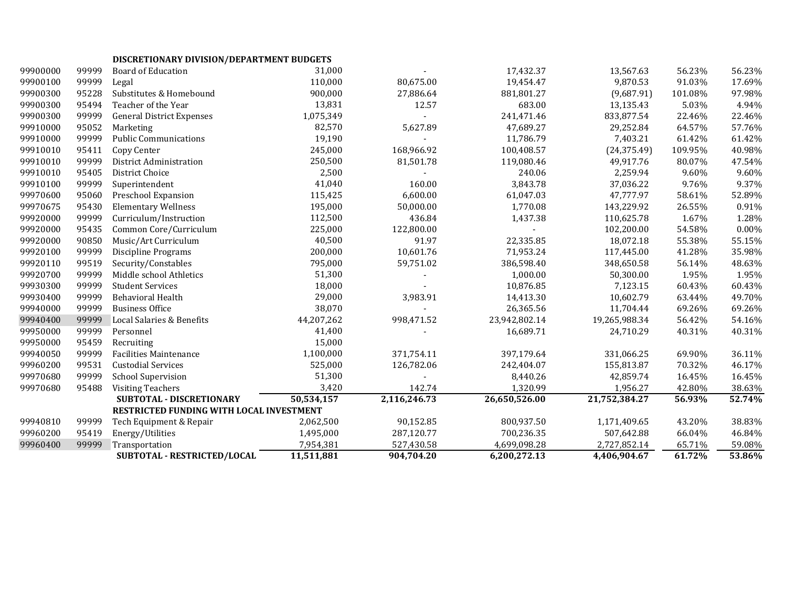| DISCRETIONARY DIVISION/DEPARTMENT BUDGETS |  |
|-------------------------------------------|--|
|                                           |  |

| 99900000 | 99999 | <b>Board of Education</b>                | 31,000     |              | 17,432.37     | 13,567.63     | 56.23%  | 56.23% |
|----------|-------|------------------------------------------|------------|--------------|---------------|---------------|---------|--------|
| 99900100 | 99999 | Legal                                    | 110,000    | 80,675.00    | 19,454.47     | 9,870.53      | 91.03%  | 17.69% |
| 99900300 | 95228 | Substitutes & Homebound                  | 900,000    | 27,886.64    | 881,801.27    | (9,687.91)    | 101.08% | 97.98% |
| 99900300 | 95494 | Teacher of the Year                      | 13,831     | 12.57        | 683.00        | 13,135.43     | 5.03%   | 4.94%  |
| 99900300 | 99999 | <b>General District Expenses</b>         | 1,075,349  |              | 241,471.46    | 833,877.54    | 22.46%  | 22.46% |
| 99910000 | 95052 | Marketing                                | 82,570     | 5,627.89     | 47,689.27     | 29,252.84     | 64.57%  | 57.76% |
| 99910000 | 99999 | <b>Public Communications</b>             | 19,190     |              | 11,786.79     | 7,403.21      | 61.42%  | 61.42% |
| 99910010 | 95411 | Copy Center                              | 245,000    | 168,966.92   | 100,408.57    | (24, 375.49)  | 109.95% | 40.98% |
| 99910010 | 99999 | District Administration                  | 250,500    | 81,501.78    | 119,080.46    | 49,917.76     | 80.07%  | 47.54% |
| 99910010 | 95405 | District Choice                          | 2,500      |              | 240.06        | 2,259.94      | 9.60%   | 9.60%  |
| 99910100 | 99999 | Superintendent                           | 41,040     | 160.00       | 3,843.78      | 37,036.22     | 9.76%   | 9.37%  |
| 99970600 | 95060 | Preschool Expansion                      | 115,425    | 6,600.00     | 61,047.03     | 47,777.97     | 58.61%  | 52.89% |
| 99970675 | 95430 | <b>Elementary Wellness</b>               | 195,000    | 50,000.00    | 1,770.08      | 143,229.92    | 26.55%  | 0.91%  |
| 99920000 | 99999 | Curriculum/Instruction                   | 112,500    | 436.84       | 1,437.38      | 110,625.78    | 1.67%   | 1.28%  |
| 99920000 | 95435 | Common Core/Curriculum                   | 225,000    | 122,800.00   |               | 102,200.00    | 54.58%  | 0.00%  |
| 99920000 | 90850 | Music/Art Curriculum                     | 40,500     | 91.97        | 22,335.85     | 18,072.18     | 55.38%  | 55.15% |
| 99920100 | 99999 | Discipline Programs                      | 200,000    | 10,601.76    | 71,953.24     | 117,445.00    | 41.28%  | 35.98% |
| 99920110 | 99519 | Security/Constables                      | 795,000    | 59,751.02    | 386,598.40    | 348,650.58    | 56.14%  | 48.63% |
| 99920700 | 99999 | Middle school Athletics                  | 51,300     |              | 1,000.00      | 50,300.00     | 1.95%   | 1.95%  |
| 99930300 | 99999 | <b>Student Services</b>                  | 18,000     |              | 10,876.85     | 7,123.15      | 60.43%  | 60.43% |
| 99930400 | 99999 | Behavioral Health                        | 29,000     | 3,983.91     | 14,413.30     | 10,602.79     | 63.44%  | 49.70% |
| 99940000 | 99999 | <b>Business Office</b>                   | 38,070     |              | 26,365.56     | 11,704.44     | 69.26%  | 69.26% |
| 99940400 | 99999 | Local Salaries & Benefits                | 44,207,262 | 998,471.52   | 23,942,802.14 | 19,265,988.34 | 56.42%  | 54.16% |
| 99950000 | 99999 | Personnel                                | 41,400     |              | 16,689.71     | 24,710.29     | 40.31%  | 40.31% |
| 99950000 | 95459 | Recruiting                               | 15,000     |              |               |               |         |        |
| 99940050 | 99999 | <b>Facilities Maintenance</b>            | 1,100,000  | 371,754.11   | 397,179.64    | 331,066.25    | 69.90%  | 36.11% |
| 99960200 | 99531 | <b>Custodial Services</b>                | 525,000    | 126,782.06   | 242,404.07    | 155,813.87    | 70.32%  | 46.17% |
| 99970680 | 99999 | <b>School Supervision</b>                | 51,300     |              | 8,440.26      | 42,859.74     | 16.45%  | 16.45% |
| 99970680 | 95488 | <b>Visiting Teachers</b>                 | 3,420      | 142.74       | 1,320.99      | 1,956.27      | 42.80%  | 38.63% |
|          |       | SUBTOTAL - DISCRETIONARY                 | 50,534,157 | 2,116,246.73 | 26,650,526.00 | 21,752,384.27 | 56.93%  | 52.74% |
|          |       | RESTRICTED FUNDING WITH LOCAL INVESTMENT |            |              |               |               |         |        |
| 99940810 | 99999 | Tech Equipment & Repair                  | 2,062,500  | 90,152.85    | 800,937.50    | 1,171,409.65  | 43.20%  | 38.83% |
| 99960200 | 95419 | Energy/Utilities                         | 1,495,000  | 287,120.77   | 700,236.35    | 507,642.88    | 66.04%  | 46.84% |
| 99960400 | 99999 | Transportation                           | 7,954,381  | 527,430.58   | 4,699,098.28  | 2,727,852.14  | 65.71%  | 59.08% |
|          |       | <b>SUBTOTAL - RESTRICTED/LOCAL</b>       | 11,511,881 | 904,704.20   | 6,200,272.13  | 4,406,904.67  | 61.72%  | 53.86% |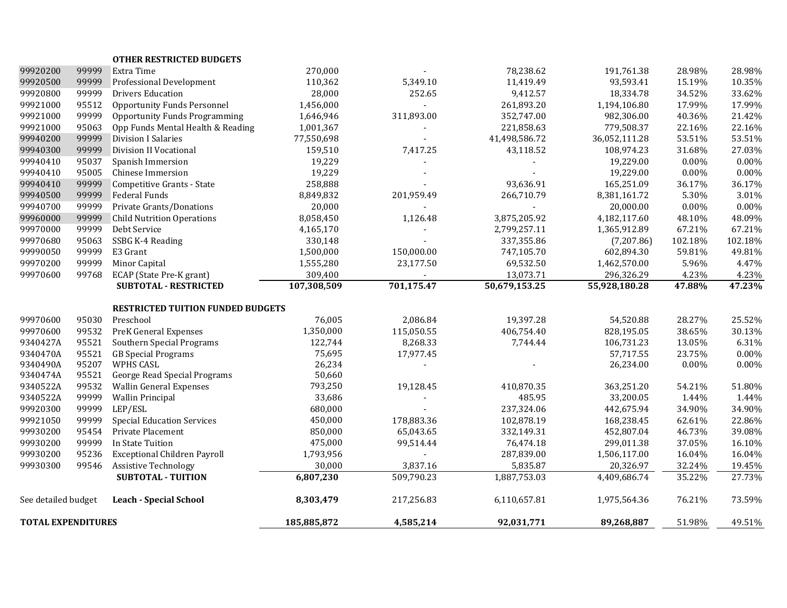| <b>TOTAL EXPENDITURES</b> |                |                                                               | 185,885,872         | 4,585,214      | 92,031,771    | 89,268,887                | 51.98%            | 49.51%            |
|---------------------------|----------------|---------------------------------------------------------------|---------------------|----------------|---------------|---------------------------|-------------------|-------------------|
| See detailed budget       |                | <b>Leach - Special School</b>                                 | 8,303,479           | 217,256.83     | 6,110,657.81  | 1,975,564.36              | 76.21%            | 73.59%            |
|                           |                | <b>SUBTOTAL - TUITION</b>                                     | 6,807,230           | 509,790.23     | 1,887,753.03  | 4,409,686.74              | 35.22%            | 27.73%            |
| 99930300                  | 99546          | <b>Assistive Technology</b>                                   | 30,000              | 3,837.16       | 5,835.87      | 20,326.97                 | 32.24%            | 19.45%            |
| 99930200                  | 95236          | <b>Exceptional Children Payroll</b>                           | 1,793,956           |                | 287,839.00    | 1,506,117.00              | 16.04%            | 16.04%            |
| 99930200                  | 99999          | In State Tuition                                              | 475,000             | 99,514.44      | 76,474.18     | 299,011.38                | 37.05%            | 16.10%            |
| 99930200                  | 95454          | Private Placement                                             | 850,000             | 65,043.65      | 332,149.31    | 452,807.04                | 46.73%            | 39.08%            |
| 99921050                  | 99999          | <b>Special Education Services</b>                             | 450,000             | 178,883.36     | 102,878.19    | 168,238.45                | 62.61%            | 22.86%            |
| 99920300                  | 99999          | LEP/ESL                                                       | 680,000             |                | 237,324.06    | 442,675.94                | 34.90%            | 34.90%            |
| 9340522A                  | 99999          | <b>Wallin Principal</b>                                       | 33,686              |                | 485.95        | 33,200.05                 | 1.44%             | 1.44%             |
| 9340522A                  | 99532          | <b>Wallin General Expenses</b>                                | 793,250             | 19,128.45      | 410,870.35    | 363,251.20                | 54.21%            | 51.80%            |
| 9340474A                  | 95521          | George Read Special Programs                                  | 50,660              |                |               |                           |                   |                   |
| 9340490A                  | 95207          | WPHS CASL                                                     | 26,234              |                |               | 26,234.00                 | $0.00\%$          | $0.00\%$          |
| 9340470A                  | 95521          | <b>GB</b> Special Programs                                    | 75,695              | 17,977.45      |               | 57,717.55                 | 23.75%            | 0.00%             |
| 9340427A                  | 95521          | Southern Special Programs                                     | 122,744             | 8,268.33       | 7,744.44      | 106,731.23                | 13.05%            | 6.31%             |
| 99970600                  | 99532          | <b>PreK General Expenses</b>                                  | 1,350,000           | 115,050.55     | 406,754.40    | 828,195.05                | 38.65%            | 30.13%            |
| 99970600                  | 95030          | Preschool                                                     | 76,005              | 2,086.84       | 19,397.28     | 54,520.88                 | 28.27%            | 25.52%            |
|                           |                | <b>RESTRICTED TUITION FUNDED BUDGETS</b>                      |                     |                |               |                           |                   |                   |
|                           |                | <b>SUBTOTAL - RESTRICTED</b>                                  | 107,308,509         | 701,175.47     | 50,679,153.25 | 55,928,180.28             | 47.88%            | 47.23%            |
| 99970600                  | 99768          | ECAP (State Pre-K grant)                                      | 309,400             |                | 13,073.71     | 296,326.29                | 4.23%             | 4.23%             |
| 99970200                  | 99999          | Minor Capital                                                 | 1,555,280           | 23,177.50      | 69,532.50     | 1,462,570.00              | 5.96%             | 4.47%             |
| 99990050                  | 99999          | E3 Grant                                                      | 1,500,000           | 150,000.00     | 747,105.70    | 602,894.30                | 59.81%            | 49.81%            |
| 99970680                  | 95063          | SSBG K-4 Reading                                              | 330,148             |                | 337,355.86    | (7,207.86)                | 102.18%           | 102.18%           |
| 99970000                  | 99999          | Debt Service                                                  | 4,165,170           |                | 2,799,257.11  | 1,365,912.89              | 67.21%            | 67.21%            |
| 99960000                  | 99999          | Private Grants/Donations<br><b>Child Nutrition Operations</b> | 8,058,450           | 1,126.48       | 3,875,205.92  | 4,182,117.60              | 48.10%            | 48.09%            |
| 99940500<br>99940700      | 99999<br>99999 | Federal Funds                                                 | 8,849,832<br>20,000 | 201,959.49     | 266,710.79    | 8,381,161.72<br>20,000.00 | 5.30%<br>$0.00\%$ | 3.01%<br>$0.00\%$ |
| 99940410                  | 99999          | Competitive Grants - State                                    | 258,888             |                | 93,636.91     | 165,251.09                | 36.17%            | 36.17%            |
| 99940410                  | 95005          | Chinese Immersion                                             | 19,229              |                |               | 19,229.00                 | 0.00%             | 0.00%             |
| 99940410                  | 95037          | Spanish Immersion                                             | 19,229              |                |               | 19,229.00                 | $0.00\%$          | 0.00%             |
| 99940300                  | 99999          | Division II Vocational                                        | 159,510             | 7,417.25       | 43,118.52     | 108,974.23                | 31.68%            | 27.03%            |
| 99940200                  | 99999          | <b>Division I Salaries</b>                                    | 77,550,698          |                | 41,498,586.72 | 36,052,111.28             | 53.51%            | 53.51%            |
| 99921000                  | 95063          | Opp Funds Mental Health & Reading                             | 1,001,367           |                | 221,858.63    | 779,508.37                | 22.16%            | 22.16%            |
| 99921000                  | 99999          | <b>Opportunity Funds Programming</b>                          | 1,646,946           | 311,893.00     | 352,747.00    | 982,306.00                | 40.36%            | 21.42%            |
| 99921000                  | 95512          | <b>Opportunity Funds Personnel</b>                            | 1,456,000           | $\overline{a}$ | 261,893.20    | 1,194,106.80              | 17.99%            | 17.99%            |
| 99920800                  | 99999          | <b>Drivers Education</b>                                      | 28,000              | 252.65         | 9,412.57      | 18,334.78                 | 34.52%            | 33.62%            |
| 99920500                  | 99999          | Professional Development                                      | 110,362             | 5,349.10       | 11,419.49     | 93,593.41                 | 15.19%            | 10.35%            |
| 99920200                  | 99999          | Extra Time                                                    | 270,000             |                | 78,238.62     | 191,761.38                | 28.98%            | 28.98%            |
|                           |                | <b>OTHER RESTRICTED BUDGETS</b>                               |                     |                |               |                           |                   |                   |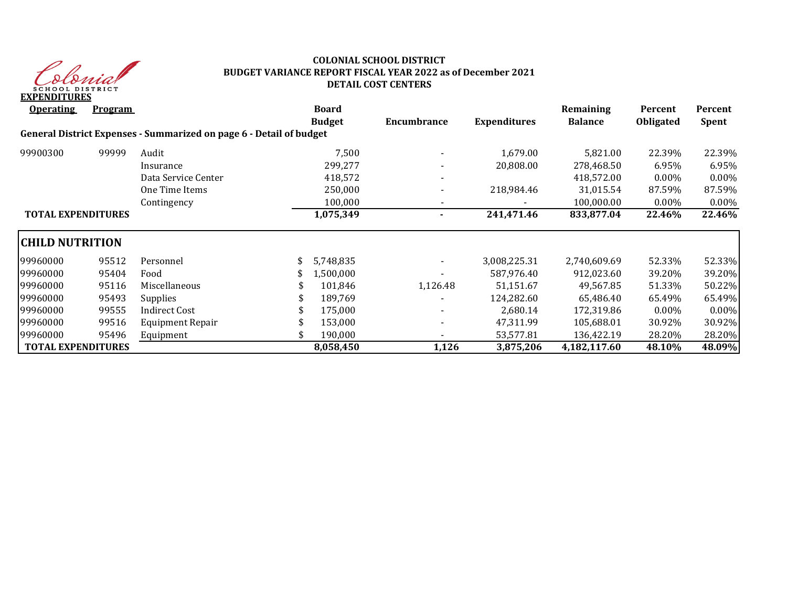

### **COLONIAL SCHOOL DISTRICT BUDGET VARIANCE REPORT FISCAL YEAR 2022 as of December 2021 DETAIL COST CENTERS**

| <b>Operating</b>          | <b>Program</b> |                                                                     | <b>Board</b><br><b>Budget</b> | Encumbrance | <b>Expenditures</b> | Remaining<br><b>Balance</b> | Percent<br><b>Obligated</b> | Percent<br><b>Spent</b> |
|---------------------------|----------------|---------------------------------------------------------------------|-------------------------------|-------------|---------------------|-----------------------------|-----------------------------|-------------------------|
|                           |                | General District Expenses - Summarized on page 6 - Detail of budget |                               |             |                     |                             |                             |                         |
| 99900300                  | 99999          | Audit                                                               | 7,500                         |             | 1,679.00            | 5,821.00                    | 22.39%                      | 22.39%                  |
|                           |                | Insurance                                                           | 299,277                       |             | 20,808.00           | 278,468.50                  | 6.95%                       | 6.95%                   |
|                           |                | Data Service Center                                                 | 418,572                       |             |                     | 418,572.00                  | $0.00\%$                    | 0.00%                   |
|                           |                | One Time Items                                                      | 250,000                       |             | 218,984.46          | 31,015.54                   | 87.59%                      | 87.59%                  |
|                           |                | Contingency                                                         | 100,000                       |             |                     | 100,000.00                  | 0.00%                       | $0.00\%$                |
| <b>TOTAL EXPENDITURES</b> |                |                                                                     | 1,075,349                     |             | 241,471.46          | 833,877.04                  | 22.46%                      | 22.46%                  |
| <b>CHILD NUTRITION</b>    |                |                                                                     |                               |             |                     |                             |                             |                         |
| 99960000                  | 95512          | Personnel                                                           | 5,748,835                     |             | 3,008,225.31        | 2,740,609.69                | 52.33%                      | 52.33%                  |
| 99960000                  | 95404          | Food                                                                | 1,500,000                     |             | 587.976.40          | 912,023.60                  | 39.20%                      | 39.20%                  |
| 99960000                  | 95116          | Miscellaneous                                                       | 101,846                       | 1,126.48    | 51,151.67           | 49,567.85                   | 51.33%                      | 50.22%                  |
| 99960000                  | 95493          | <b>Supplies</b>                                                     | 189,769                       |             | 124,282.60          | 65,486.40                   | 65.49%                      | 65.49%                  |
| 99960000                  | 99555          | Indirect Cost                                                       | 175,000                       |             | 2,680.14            | 172,319.86                  | $0.00\%$                    | 0.00%                   |
| 99960000                  | 99516          | Equipment Repair                                                    | 153,000                       |             | 47,311.99           | 105,688.01                  | 30.92%                      | 30.92%                  |
| 99960000                  | 95496          | Equipment                                                           | 190,000                       |             | 53,577.81           | 136,422.19                  | 28.20%                      | 28.20%                  |
| <b>TOTAL EXPENDITURES</b> |                |                                                                     | 8,058,450                     | 1,126       | 3,875,206           | 4,182,117.60                | 48.10%                      | 48.09%                  |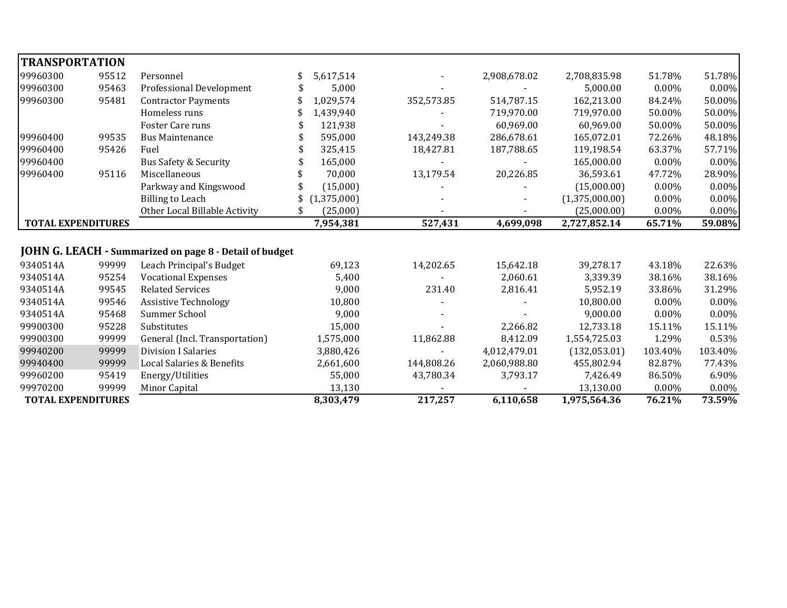| <b>TRANSPORTATION</b>     |       |                                                         |             |            |              |                |         |          |
|---------------------------|-------|---------------------------------------------------------|-------------|------------|--------------|----------------|---------|----------|
| 99960300                  | 95512 | Personnel                                               | 5,617,514   |            | 2,908,678.02 | 2,708,835.98   | 51.78%  | 51.78%   |
| 99960300                  | 95463 | Professional Development                                | 5,000       |            |              | 5,000.00       | 0.00%   | 0.00%    |
| 99960300                  | 95481 | <b>Contractor Payments</b>                              | 1,029,574   | 352,573.85 | 514,787.15   | 162,213.00     | 84.24%  | 50.00%   |
|                           |       | Homeless runs                                           | 1,439,940   |            | 719,970.00   | 719,970.00     | 50.00%  | 50.00%   |
|                           |       | Foster Care runs                                        | 121,938     |            | 60,969.00    | 60,969.00      | 50.00%  | 50.00%   |
| 99960400                  | 99535 | <b>Bus Maintenance</b>                                  | 595,000     | 143,249.38 | 286,678.61   | 165,072.01     | 72.26%  | 48.18%   |
| 99960400                  | 95426 | Fuel                                                    | 325,415     | 18,427.81  | 187,788.65   | 119,198.54     | 63.37%  | 57.71%   |
| 99960400                  |       | <b>Bus Safety &amp; Security</b>                        | 165,000     |            |              | 165,000.00     | 0.00%   | 0.00%    |
| 99960400                  | 95116 | Miscellaneous                                           | 70,000      | 13,179.54  | 20,226.85    | 36,593.61      | 47.72%  | 28.90%   |
|                           |       | Parkway and Kingswood                                   | (15,000)    |            |              | (15,000.00)    | 0.00%   | 0.00%    |
|                           |       | <b>Billing to Leach</b>                                 | (1,375,000) |            |              | (1,375,000.00) | 0.00%   | 0.00%    |
|                           |       | Other Local Billable Activity                           | (25,000)    |            |              | (25,000.00)    | 0.00%   | 0.00%    |
| <b>TOTAL EXPENDITURES</b> |       |                                                         | 7,954,381   | 527,431    | 4,699,098    | 2,727,852.14   | 65.71%  | 59.08%   |
|                           |       |                                                         |             |            |              |                |         |          |
|                           |       | JOHN G. LEACH - Summarized on page 8 - Detail of budget |             |            |              |                |         |          |
| 9340514A                  | 99999 | Leach Principal's Budget                                | 69,123      | 14,202.65  | 15,642.18    | 39,278.17      | 43.18%  | 22.63%   |
| 9340514A                  | 95254 | <b>Vocational Expenses</b>                              | 5,400       |            | 2,060.61     | 3,339.39       | 38.16%  | 38.16%   |
| 9340514A                  | 99545 | <b>Related Services</b>                                 | 9,000       | 231.40     | 2,816.41     | 5,952.19       | 33.86%  | 31.29%   |
| 9340514A                  | 99546 | <b>Assistive Technology</b>                             | 10,800      |            |              | 10,800.00      | 0.00%   | $0.00\%$ |
| 9340514A                  | 95468 | Summer School                                           | 9,000       |            |              | 9,000.00       | 0.00%   | 0.00%    |
| 99900300                  | 95228 | Substitutes                                             | 15,000      |            | 2,266.82     | 12,733.18      | 15.11%  | 15.11%   |
| 99900300                  | 99999 | General (Incl. Transportation)                          | 1,575,000   | 11,862.88  | 8,412.09     | 1,554,725.03   | 1.29%   | 0.53%    |
| 99940200                  | 99999 | <b>Division I Salaries</b>                              | 3,880,426   |            | 4,012,479.01 | (132,053.01)   | 103.40% | 103.40%  |
| 99940400                  | 99999 | Local Salaries & Benefits                               | 2,661,600   | 144,808.26 | 2,060,988.80 | 455,802.94     | 82.87%  | 77.43%   |
| 99960200                  | 95419 | Energy/Utilities                                        | 55,000      | 43,780.34  | 3,793.17     | 7,426.49       | 86.50%  | 6.90%    |
| 99970200                  | 99999 | Minor Capital                                           | 13,130      |            |              | 13,130.00      | 0.00%   | 0.00%    |
| <b>TOTAL EXPENDITURES</b> |       |                                                         | 8,303,479   | 217,257    | 6,110,658    | 1,975,564.36   | 76.21%  | 73.59%   |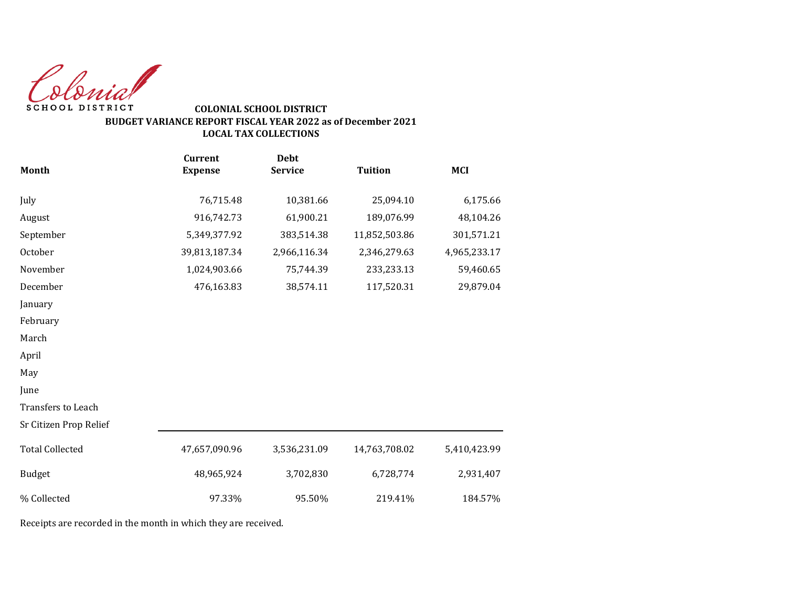Colonial SCHOOL DISTRICT

### **COLONIAL SCHOOL DISTRICT BUDGET VARIANCE REPORT FISCAL YEAR 2022 as of December 2021 LOCAL TAX COLLECTIONS**

|                        | <b>Current</b> | <b>Debt</b>    |                |              |
|------------------------|----------------|----------------|----------------|--------------|
| <b>Month</b>           | <b>Expense</b> | <b>Service</b> | <b>Tuition</b> | <b>MCI</b>   |
| July                   | 76,715.48      | 10,381.66      | 25,094.10      | 6,175.66     |
| August                 | 916,742.73     | 61,900.21      | 189,076.99     | 48,104.26    |
| September              | 5,349,377.92   | 383,514.38     | 11,852,503.86  | 301,571.21   |
| October                | 39,813,187.34  | 2,966,116.34   | 2,346,279.63   | 4,965,233.17 |
| November               | 1,024,903.66   | 75,744.39      | 233,233.13     | 59,460.65    |
| December               | 476,163.83     | 38,574.11      | 117,520.31     | 29,879.04    |
| January                |                |                |                |              |
| February               |                |                |                |              |
| March                  |                |                |                |              |
| April                  |                |                |                |              |
| May                    |                |                |                |              |
| June                   |                |                |                |              |
| Transfers to Leach     |                |                |                |              |
| Sr Citizen Prop Relief |                |                |                |              |
| <b>Total Collected</b> | 47,657,090.96  | 3,536,231.09   | 14,763,708.02  | 5,410,423.99 |
| Budget                 | 48,965,924     | 3,702,830      | 6,728,774      | 2,931,407    |
| % Collected            | 97.33%         | 95.50%         | 219.41%        | 184.57%      |

Receipts are recorded in the month in which they are received.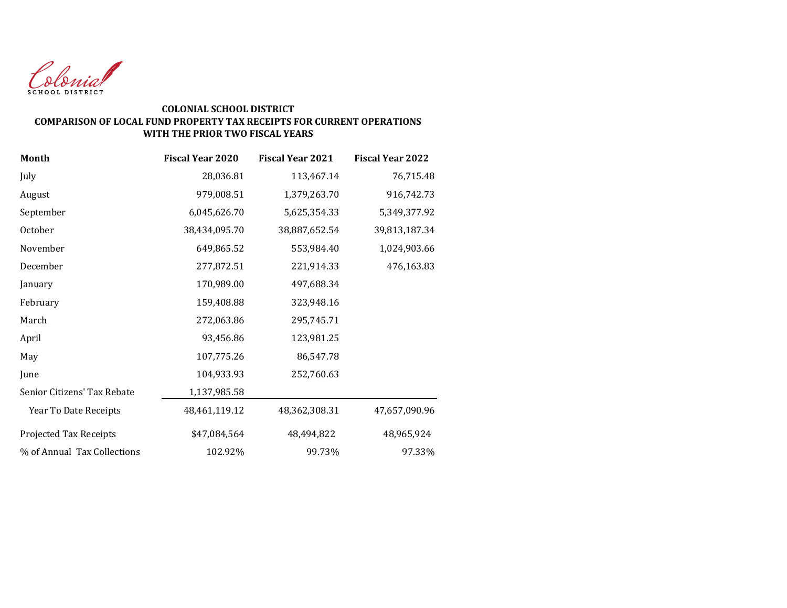

#### **COLONIAL SCHOOL DISTRICT COMPARISON OF LOCAL FUND PROPERTY TAX RECEIPTS FOR CURRENT OPERATIONS WITH THE PRIOR TWO FISCAL YEARS**

| Month                       | <b>Fiscal Year 2020</b> | <b>Fiscal Year 2021</b> | <b>Fiscal Year 2022</b> |
|-----------------------------|-------------------------|-------------------------|-------------------------|
| July                        | 28,036.81               | 113,467.14              | 76,715.48               |
| August                      | 979,008.51              | 1,379,263.70            | 916,742.73              |
| September                   | 6,045,626.70            | 5,625,354.33            | 5,349,377.92            |
| October                     | 38,434,095.70           | 38,887,652.54           | 39,813,187.34           |
| November                    | 649,865.52              | 553,984.40              | 1,024,903.66            |
| December                    | 277,872.51              | 221,914.33              | 476,163.83              |
| January                     | 170,989.00              | 497,688.34              |                         |
| February                    | 159,408.88              | 323,948.16              |                         |
| March                       | 272,063.86              | 295,745.71              |                         |
| April                       | 93,456.86               | 123,981.25              |                         |
| May                         | 107,775.26              | 86,547.78               |                         |
| June                        | 104,933.93              | 252,760.63              |                         |
| Senior Citizens' Tax Rebate | 1,137,985.58            |                         |                         |
| Year To Date Receipts       | 48,461,119.12           | 48,362,308.31           | 47,657,090.96           |
| Projected Tax Receipts      | \$47,084,564            | 48,494,822              | 48,965,924              |
| % of Annual Tax Collections | 102.92%                 | 99.73%                  | 97.33%                  |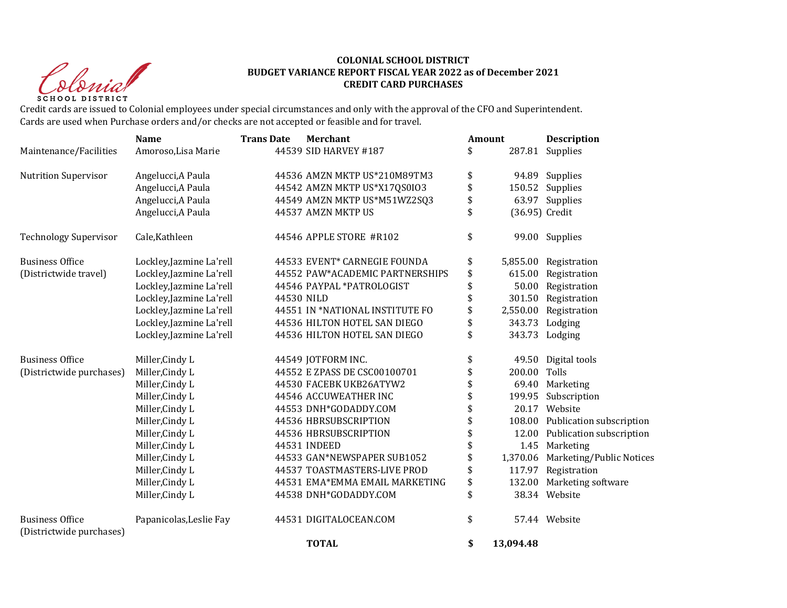Christ **SCHOOL DISTRICT** 

#### **COLONIAL SCHOOL DISTRICT BUDGET VARIANCE REPORT FISCAL YEAR 2022 as of December 2021 CREDIT CARD PURCHASES**

Credit cards are issued to Colonial employees under special circumstances and only with the approval of the CFO and Superintendent. Cards are used when Purchase orders and/or checks are not accepted or feasible and for travel.

|                                                    | <b>Name</b>              | <b>Trans Date</b> | <b>Merchant</b>                 | <b>Amount</b>   | <b>Description</b>              |
|----------------------------------------------------|--------------------------|-------------------|---------------------------------|-----------------|---------------------------------|
| Maintenance/Facilities                             | Amoroso, Lisa Marie      |                   | 44539 SID HARVEY #187           | \$              | 287.81 Supplies                 |
| <b>Nutrition Supervisor</b>                        | Angelucci, A Paula       |                   | 44536 AMZN MKTP US*210M89TM3    | \$              | 94.89 Supplies                  |
|                                                    | Angelucci, A Paula       |                   | 44542 AMZN MKTP US*X17QS0IO3    | \$              | 150.52 Supplies                 |
|                                                    | Angelucci, A Paula       |                   | 44549 AMZN MKTP US*M51WZ2SQ3    | \$              | 63.97 Supplies                  |
|                                                    | Angelucci, A Paula       |                   | 44537 AMZN MKTP US              | \$              | (36.95) Credit                  |
| <b>Technology Supervisor</b>                       | Cale, Kathleen           |                   | 44546 APPLE STORE #R102         | \$              | 99.00 Supplies                  |
| <b>Business Office</b>                             | Lockley, Jazmine La'rell |                   | 44533 EVENT* CARNEGIE FOUNDA    | \$              | 5,855.00 Registration           |
| (Districtwide travel)                              | Lockley, Jazmine La'rell |                   | 44552 PAW*ACADEMIC PARTNERSHIPS | \$<br>615.00    | Registration                    |
|                                                    | Lockley, Jazmine La'rell |                   | 44546 PAYPAL *PATROLOGIST       | \$<br>50.00     | Registration                    |
|                                                    | Lockley, Jazmine La'rell | 44530 NILD        |                                 | \$              | 301.50 Registration             |
|                                                    | Lockley, Jazmine La'rell |                   | 44551 IN *NATIONAL INSTITUTE FO | \$<br>2,550.00  | Registration                    |
|                                                    | Lockley, Jazmine La'rell |                   | 44536 HILTON HOTEL SAN DIEGO    | \$<br>343.73    | Lodging                         |
|                                                    | Lockley, Jazmine La'rell |                   | 44536 HILTON HOTEL SAN DIEGO    | \$              | 343.73 Lodging                  |
| <b>Business Office</b>                             | Miller, Cindy L          |                   | 44549 JOTFORM INC.              | \$              | 49.50 Digital tools             |
| (Districtwide purchases)                           | Miller, Cindy L          |                   | 44552 E ZPASS DE CSC00100701    | \$<br>200.00    | Tolls                           |
|                                                    | Miller, Cindy L          |                   | 44530 FACEBK UKB26ATYW2         | \$<br>69.40     | Marketing                       |
|                                                    | Miller, Cindy L          |                   | 44546 ACCUWEATHER INC           | \$<br>199.95    | Subscription                    |
|                                                    | Miller, Cindy L          |                   | 44553 DNH*GODADDY.COM           | \$              | 20.17 Website                   |
|                                                    | Miller, Cindy L          |                   | 44536 HBRSUBSCRIPTION           | \$              | 108.00 Publication subscription |
|                                                    | Miller, Cindy L          |                   | 44536 HBRSUBSCRIPTION           | \$<br>12.00     | Publication subscription        |
|                                                    | Miller, Cindy L          |                   | 44531 INDEED                    | \$<br>1.45      | Marketing                       |
|                                                    | Miller, Cindy L          |                   | 44533 GAN*NEWSPAPER SUB1052     | \$<br>1,370.06  | Marketing/Public Notices        |
|                                                    | Miller, Cindy L          |                   | 44537 TOASTMASTERS-LIVE PROD    | \$<br>117.97    | Registration                    |
|                                                    | Miller, Cindy L          |                   | 44531 EMA*EMMA EMAIL MARKETING  | \$<br>132.00    | Marketing software              |
|                                                    | Miller, Cindy L          |                   | 44538 DNH*GODADDY.COM           | \$              | 38.34 Website                   |
| <b>Business Office</b><br>(Districtwide purchases) | Papanicolas, Leslie Fay  |                   | 44531 DIGITALOCEAN.COM          | \$              | 57.44 Website                   |
|                                                    |                          |                   | <b>TOTAL</b>                    | \$<br>13,094.48 |                                 |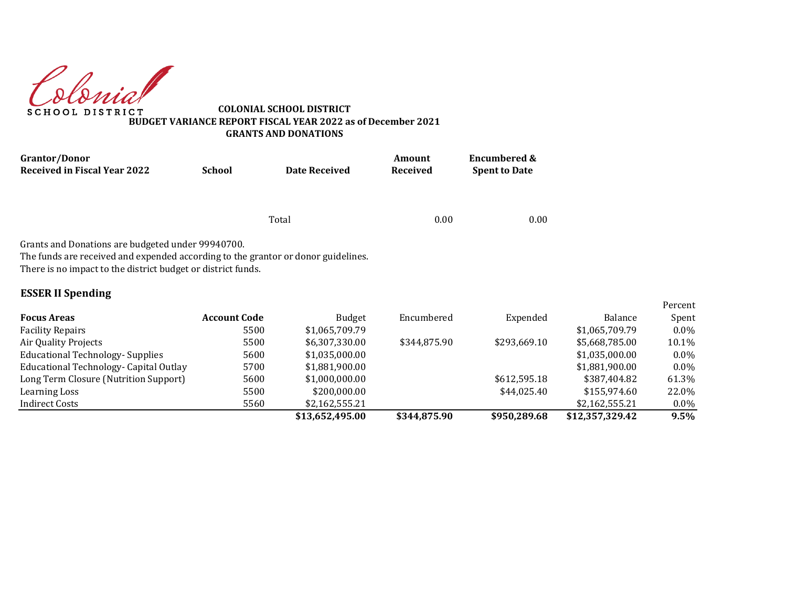Colonial **SCHOOL DISTRICT** 

**COLONIAL SCHOOL DISTRICT BUDGET VARIANCE REPORT FISCAL YEAR 2022 as of December 2021 GRANTS AND DONATIONS**

| <b>Grantor/Donor</b>                                                                                                                                                                                                               | <b>School</b><br><b>Date Received</b> |                | Amount               | <b>Encumbered &amp;</b> |                |         |
|------------------------------------------------------------------------------------------------------------------------------------------------------------------------------------------------------------------------------------|---------------------------------------|----------------|----------------------|-------------------------|----------------|---------|
| <b>Received in Fiscal Year 2022</b>                                                                                                                                                                                                |                                       | Received       | <b>Spent to Date</b> |                         |                |         |
|                                                                                                                                                                                                                                    |                                       | Total          | 0.00                 | 0.00                    |                |         |
|                                                                                                                                                                                                                                    |                                       |                |                      |                         |                |         |
| Grants and Donations are budgeted under 99940700.<br>The funds are received and expended according to the grantor or donor guidelines.<br>There is no impact to the district budget or district funds.<br><b>ESSER II Spending</b> |                                       |                |                      |                         |                | Percent |
| <b>Focus Areas</b>                                                                                                                                                                                                                 | <b>Account Code</b>                   | <b>Budget</b>  | Encumbered           | Expended                | <b>Balance</b> | Spent   |
| <b>Facility Repairs</b>                                                                                                                                                                                                            | 5500                                  | \$1,065,709.79 |                      |                         | \$1,065,709.79 | $0.0\%$ |
| Air Quality Projects                                                                                                                                                                                                               | 5500                                  | \$6,307,330.00 | \$344,875.90         | \$293,669.10            | \$5,668,785.00 | 10.1%   |
| <b>Educational Technology- Supplies</b>                                                                                                                                                                                            | 5600                                  | \$1,035,000.00 |                      |                         | \$1,035,000.00 | $0.0\%$ |
| Educational Technology- Capital Outlay                                                                                                                                                                                             | 5700                                  | \$1,881,900.00 |                      |                         | \$1,881,900.00 | $0.0\%$ |
| Long Term Closure (Nutrition Support)                                                                                                                                                                                              | 5600                                  | \$1,000,000.00 |                      | \$612,595.18            | \$387,404.82   | 61.3%   |
| Learning Loss                                                                                                                                                                                                                      | 5500                                  | \$200,000.00   |                      | \$44,025.40             | \$155,974.60   | 22.0%   |

Indirect Costs 5560 \$2,162,555.21 \$2,162,555.21 0.0%

**\$13,652,495.00 \$344,875.90 \$950,289.68 \$12,357,329.42 9.5%**

Percent Spent